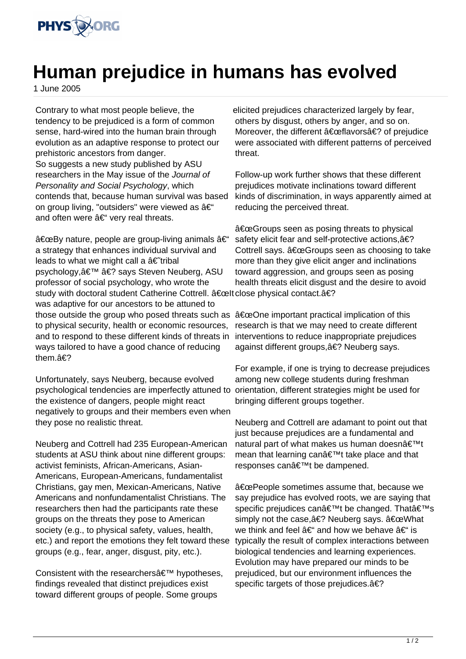

## **Human prejudice in humans has evolved**

1 June 2005

Contrary to what most people believe, the tendency to be prejudiced is a form of common sense, hard-wired into the human brain through evolution as an adaptive response to protect our prehistoric ancestors from danger. So suggests a new study published by ASU researchers in the May issue of the Journal of Personality and Social Psychology, which contends that, because human survival was based on group living, "outsiders" were viewed as  $\hat{a}\in$ " and often were  $a \in \mathcal{C}$  very real threats.

 $\hat{a} \in \text{ceBy}$  nature, people are group-living animals  $\hat{a} \in \text{ce}$ a strategy that enhances individual survival and leads to what we might call a  $\hat{a} \in \hat{a}$  tribal psychology, ' � says Steven Neuberg, ASU professor of social psychology, who wrote the study with doctoral student Catherine Cottrell. "Itclose physical contact.� was adaptive for our ancestors to be attuned to those outside the group who posed threats such as "One important practical implication of this to physical security, health or economic resources, and to respond to these different kinds of threats in ways tailored to have a good chance of reducing them.�

Unfortunately, says Neuberg, because evolved psychological tendencies are imperfectly attuned to the existence of dangers, people might react negatively to groups and their members even when they pose no realistic threat.

Neuberg and Cottrell had 235 European-American students at ASU think about nine different groups: activist feminists, African-Americans, Asian-Americans, European-Americans, fundamentalist Christians, gay men, Mexican-Americans, Native Americans and nonfundamentalist Christians. The researchers then had the participants rate these groups on the threats they pose to American society (e.g., to physical safety, values, health, etc.) and report the emotions they felt toward these groups (e.g., fear, anger, disgust, pity, etc.).

Consistent with the researchers' hypotheses, findings revealed that distinct prejudices exist toward different groups of people. Some groups

elicited prejudices characterized largely by fear, others by disgust, others by anger, and so on. Moreover, the different  $a \in \text{ceflavors}$  of prejudice were associated with different patterns of perceived threat.

Follow-up work further shows that these different prejudices motivate inclinations toward different kinds of discrimination, in ways apparently aimed at reducing the perceived threat.

 $\hat{a} \in \mathbb{C}$  Groups seen as posing threats to physical safety elicit fear and self-protective actions, $\hat{a} \in ?$ Cottrell says.  $\hat{a} \in \mathbb{G}$  corresponding to take more than they give elicit anger and inclinations toward aggression, and groups seen as posing health threats elicit disgust and the desire to avoid

research is that we may need to create different interventions to reduce inappropriate prejudices against different groups, � Neuberg says.

For example, if one is trying to decrease prejudices among new college students during freshman orientation, different strategies might be used for bringing different groups together.

Neuberg and Cottrell are adamant to point out that just because prejudices are a fundamental and natural part of what makes us human doesn $\hat{a} \in \mathbb{R}^{n}$ t mean that learning can $\hat{a} \in \mathbb{R}^{n}$ t take place and that responses can't be dampened.

"People sometimes assume that, because we say prejudice has evolved roots, we are saying that specific prejudices can't be changed. That's simply not the case. $\hat{a} \in ?$  Neuberg says.  $\hat{a} \in \text{ceWhat}$ we think and feel  $A \in \mathcal{F}$  and how we behave  $A \in \mathcal{F}$  is typically the result of complex interactions between biological tendencies and learning experiences. Evolution may have prepared our minds to be prejudiced, but our environment influences the specific targets of those prejudices. $a \in ?$